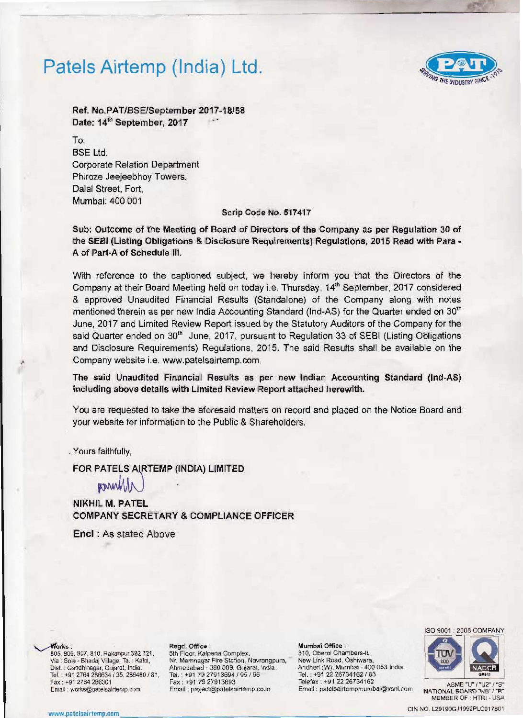## Patels Airtemp (India) Ltd.



Ref. No.PAT/BSEISeptember *2017·18/58*  Date: 14<sup>th</sup> September, 2017

To. BSE Ltd. Corporate Relation Department Phiroze Jeejeebhoy Towers. Dalal Street, Fort, Mumbai: 400 001

### Scrip Code No. 517417

Sub: Outcome of the Meeting of Board of Directors of the Company as per Regulation 30 of the SEBI (Listing Obligations & Disclosure Requirements) Regulations, 2015 Read with Para-A of Part-A of Schedule 111.

With reference to the captioned subject, we hereby inform you that the Directors of the Company at their Board Meeting held on today i.e. Thursday, 14<sup>th</sup> September, 2017 considered & approved Unaudited Financial Results (Standalone) of the Company along with notes mentioned therein as per new India Accounting Standard (Ind-AS) for the Quarter ended on 30<sup>th</sup> June, 2017 and Limited Review Report issued by the Statutory Auditors of the Company for the said Quarter ended on 30<sup>th</sup> June, 2017, pursuant to Regulation 33 of SEBI (Listing Obligations and Disclosure Requirements) Regulations, 2015. The said Results shall be available on the Company website i.e. www.patelsairtemp.com .

The said Unaudited Financial Results as per new Indian Accounting Standard (Ind·AS) including above details with Limited Review Report attached herewith.

You are requested to take the aforesaid matters on record and placed on the Notice Board and your website for information to the Public & Shareholders.

. Yours faithfully,

FOR PATELS AIRTEMP (INDIA) LIMITED

parity

NIKHIL M. PATEL COMPANY SECRETARY & COMPLIANCE OFFICER

Enel : As stated Above

..

805, 806, 807, 810, Rakanpur 382 721, 5th Floor, Kalpana Complex, Sale (Station, 210, Oberoi Chambers-II, 1999)<br>Via : Sola - Bhadaj Village, Ta. : Kalol, N. Memnagar Fire Station, Navrangpura, Rew Link Road, Oshiwara, Via : Sola - Bhadaj Village, Ta. : Kalol, N. Memnagar Fire Station, Navrangpura.<br>Dist. : Gandhinagar, Gujarat, India. Ahmedabad - 380 009. Gujarat, India. Ahmedabad - 380 009. Gujarat, India. Andheri (W), Mumbal - 400 053 India.<br>Tel.: +91 79 27913694 / 95 / 96 Tel.: +91 22 26734162 / 63 Tel. : +91 2764 286634 / 35, 286480 / 81, Tel. : +91 79 27913694 / 95 / 96 Tel. : +91 22 26734162 / 63<br>Fax : +91 79 27913693 Telefax : +91 22 26734162 Fax : "91 2764 286301 Fax : "91 7927913693 Telefa~ ; +91 22 26734162 ASME "U"I"U2"' "5" Email: won.s@patelsairtemp.com Email. projecl@palelsairlemp.co.in Email ; patelsairtempmumbai@vsnl.com NATIONAL BOARD 'NB" '"R"

مة "Works: Negd. Office : Mumbal Office :<br>105. 806, 807, 810, Rakanpur 382 721, 5th Floor, Kalpana Complex, 210, Oberoi Chambers-II,





MEMBER OF : HTRI - USA

www CIN NO. l2919OGJI992PlCOI7801 .pltelsairlemp.com \_\_\_\_ \_ \_\_\_\_\_\_\_\_\_ \_ \_\_\_\_\_\_\_\_\_ \_ \_\_\_ \_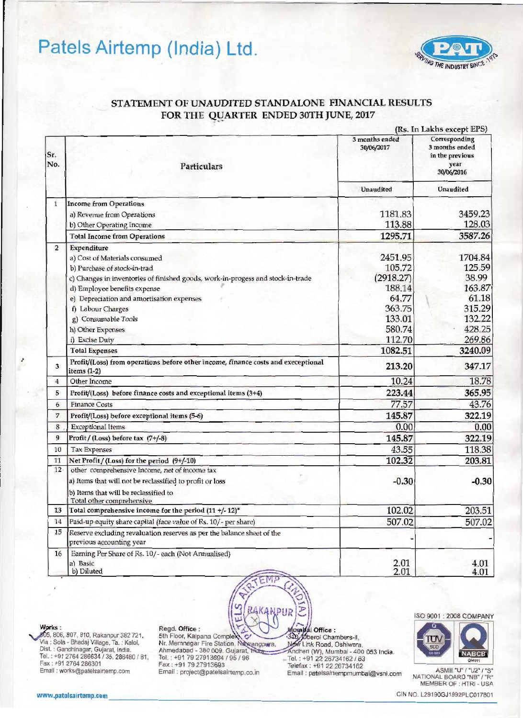# Patels Airtemp (India) Ltd.



## STATEMENT OF UNAUDITED STANDALONE FINANCIAL RESULTS FOR THE QUARTER ENDED 30TH JUNE, 2017

|                |                                                                                                    |                              | (Rs. In Lakhs except EPS)                                                |
|----------------|----------------------------------------------------------------------------------------------------|------------------------------|--------------------------------------------------------------------------|
| Sr.<br>No.     | Particulars                                                                                        | 3 months ended<br>30/06/2017 | Corresponding<br>3 months ended<br>in the previous<br>year<br>30/06/2016 |
|                |                                                                                                    | <b>Unaudited</b>             | Unaudited                                                                |
| $\mathbf{1}$   | <b>Income from Operations</b>                                                                      |                              |                                                                          |
|                | a) Revenue from Operations                                                                         | 1181.83                      | 3459.23                                                                  |
|                | b) Other Operating Income                                                                          | 113.88                       | 128.03                                                                   |
|                | <b>Total Income from Operations</b>                                                                | 1295.71                      | 3587.26                                                                  |
| $\overline{2}$ | Expenditure                                                                                        |                              |                                                                          |
|                | a) Cost of Materials consumed                                                                      | 2451.95                      | 1704.84                                                                  |
|                | b) Purchase of stock-in-trad                                                                       | 105.72                       | 125.59                                                                   |
|                | c) Changes in inventories of finished goods, work-in-progess and stock-in-trade                    | (2918.27)                    | 38.99                                                                    |
|                | d) Employee benefits expense                                                                       | 188.14                       | 163.87                                                                   |
|                | e) Depreciation and amortisation expenses                                                          | 64.77<br>363.75              | 61.18<br>315.29                                                          |
|                | f) Labour Charges                                                                                  | 133.01                       | 132.22                                                                   |
|                | g) Consumable Tools                                                                                | 580.74                       | 428.25                                                                   |
|                | h) Other Expenses<br>i) Excise Duty                                                                | 112.70                       | 269.86                                                                   |
|                | <b>Total Expenses</b>                                                                              | 1082.51                      | 3240.09                                                                  |
| 3              | Profit/(Loss) from operations before other income, finance costs and execeptional<br>items (1-2)   | 213.20                       | 347.17                                                                   |
| $\frac{1}{4}$  | Other Income                                                                                       | 10.24                        | 18.78                                                                    |
| 5              | Profit/(Loss) before finance costs and exceptional items (3+4)                                     | 223.44                       | 365.95                                                                   |
| 6              | <b>Finance Costs</b>                                                                               | 77.57                        | 43.76                                                                    |
| 7              | Profit/(Loss) before exceptional items (5-6)                                                       | 145.87                       | 322.19                                                                   |
| 8              | <b>Exceptional Items</b>                                                                           | 0.00                         | 0.00                                                                     |
| 9              | Profit / (Loss) before tax (7+/-8)                                                                 | 145.87                       | 322.19                                                                   |
| 10             | <b>Tax Expenses</b>                                                                                | 43.55                        | 118.38                                                                   |
| 11             | Net Profit / (Loss) for the period (9+/-10)                                                        | 102.32                       | 203.81                                                                   |
| 12             | other comprehensive Income, net of income tax                                                      |                              |                                                                          |
|                | a) Items that will not be reclassified to profit or loss                                           | $-0.30$                      | $-0.30$                                                                  |
|                | b) Items that will be reclassified to<br>Total other comprehensive                                 |                              |                                                                          |
|                | 13 Total comprehensive income for the period (11 +/-12)*                                           | 102.02                       | 203.51                                                                   |
| 14             | Paid-up equity share capital (face value of Rs. 10/- per share)                                    | 507.02                       | 507.02                                                                   |
| 15             | Reserve excluding revaluation reserves as per the balance sheet of the<br>previous accounting year |                              |                                                                          |
| 16             | Earning Per Share of Rs. 10/- each (Not Annualised)<br>a) Basic<br>b) Diluted                      | 2.01<br>2.01                 | 4.01<br>4.01                                                             |

AKANPUR

Ъ



805, 806, 807, 810, Rakanpur 382 721, Via : Sola - Bhadaj Village, Ta. : Kalol. Dist. : Gandhinagar, Gujarat, India. Tel.: +91 2764 286634 / 35, 286480 / 81, Fax: +91 2764 286301 Email : works@patelsairtemp.com

## Regd, Office:

Reg. United:<br>St. Floor, Kalpana Complex<br>Nr. Memnagar Fire Station, Naxrangpera,<br>Ahmedabad - 380 009. Gujarat, Tradition<br>Tel. : +91 79 27913693 / 95 / 96<br>Fax : +91 79 27913693 Email: project@patelsairtemp.co.in

π

Mosaldai Office :<br>300, Oberoi Chambers-II,<br>Now Link Road, Oshiwara, Andheri (W), Mumbai - 400 053 India. Tel.: +91 22 26734162 / 63 Telefax: +91 22 26734162 Email: patelsairtempmumbai@vsnl.com ISO 9001: 2008 COMPANY



ASME "U" / "U2" / "S" NATIONAL BOARD "NB" / "R" MEMBER OF : HTRI - USA

CIN NO. L29190GJ1992PLC017801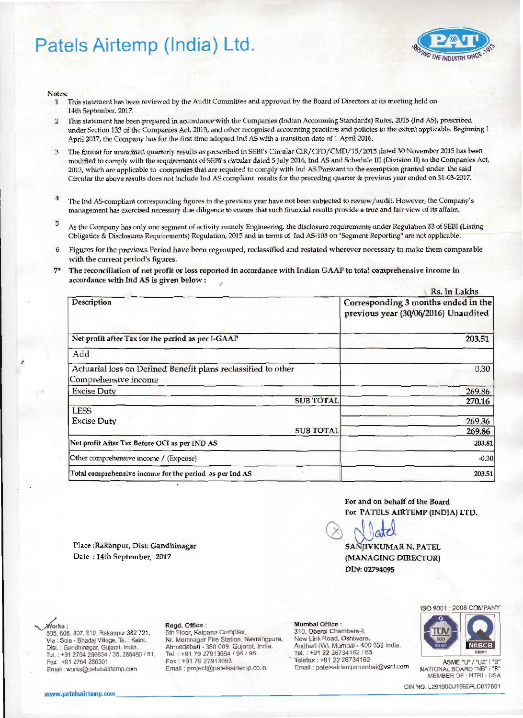# Patels Airtemp (India) Ltd.



Notes:

- This statement has been reviewed by the Audit Committee and approved by the Board of Directors at its meeting held on  $\mathbf{1}$ 14th September, 2017.
- This statement has been prepared in accordance with the Companies (Indian Accounting Standards) Rules, 2015 (Ind AS), prescribed  $\overline{2}$ under Section 133 of the Companies Act, 2013, and other recognised accounting practices and policies to the extent applicable. Beginning 1 April 2017, the Company has for the first time adopted Ind AS with a transition date of 1 April 2016.
- The format for unaudited quarterly results as prescribed in SEBI's Circular CIR/CFD/CMD/15/2015 dated 30 November 2015 has been  $\overline{3}$ modified to comply with the requirements of SEBI's circular dated 5 July 2016, Ind AS and Schedule III (Division II) to the Companies Act, 2013, which are applicable to companies that are required to comply with Ind AS.Pursvant to the exemption granted under the said Circular the above results does not include Ind AS compliant results for the preceding quarter & previous year ended on 31-03-2017.
- $\overline{4}$ The Ind AS-compliant corresponding figures in the previous year have not been subjected to review/audit. However, the Company's management has exercised necessary due diligence to ensure that such financial results provide a true and fair view of its affairs.
- 5 As the Company has only one segment of activity namely Engineering, the disclosure requirements under Regulation 33 of SEBI (Listing Obligatios & Disclosures Requirements) Regulation, 2015 and in terms of Ind AS-108 on "Segment Reporting" are not applicable.
- Figures for the previous Period have been regrouped, reclassified and restated wherever necessary to make them comparable with the current period's figures.
- The reconciliation of net profit or loss reported in accordance with Indian GAAP to total comprehensive income in  $7*$ accordance with Ind AS is given below:

| Rs. in Lakhs                                                                |  |
|-----------------------------------------------------------------------------|--|
| Corresponding 3 months ended in the<br>previous year (30/06/2016) Unaudited |  |
| 203.51                                                                      |  |
|                                                                             |  |
| 0.30                                                                        |  |
| 269.86                                                                      |  |
| <b>SUB TOTAL</b><br>270.16                                                  |  |
| 269.86<br><b>SUB TOTAL</b><br>269.86                                        |  |
| 203.81                                                                      |  |
| $-0.30$                                                                     |  |
| 203.51                                                                      |  |
|                                                                             |  |

For and on behalf of the Board For PATELS AIRTEMP (INDIA) LTD.

SAN IVKUMAR N. PATEL (MANAGING DIRECTOR) DIN: 02794095

Place:Rakanpur, Dist: Gandhinagar Date: 14th September, 2017

### Rego. Office:

**3th Floor, Kalpana Complex,** Nr. Memnagar Fire Station, Navrangpluna, Ahmedabad - 380 009. Gujarat, India. Tel.: +91 79 27913694 / 95 / 96 Fax: +91 79 27913693 Email: project@patelsairtemp.co.in

### Mumbai Office:

310, Ciberol Chambers-II, New Link Road, Oshiwara, Andheri (W), Miumbai - 400 053 India. Tel: : +91 22 26734162 / 63 Telefax: +91 22 26734162 Email: patelsairtempmumbai@vsnl.com



ASME "U" / "U2" S. NATIONAL BOARD "NB" / "IR" MEMBER OF : HTRI - USA

CIN IND. L29190GJ1992PLC017801

www.patelsairtemp.com

Fax:: +91 2764 286301

805, 806, 807, 810, Rakanpur 382 72f.,

Tel.: +91 2764 286634 / 35, 286480 / 81,

Via : Solia - Bhada; Villiage, Ta. : Kald,

Dist. : Gandhinagar, Gujarat, India.

Email: works@patelsairtemp.com

Works: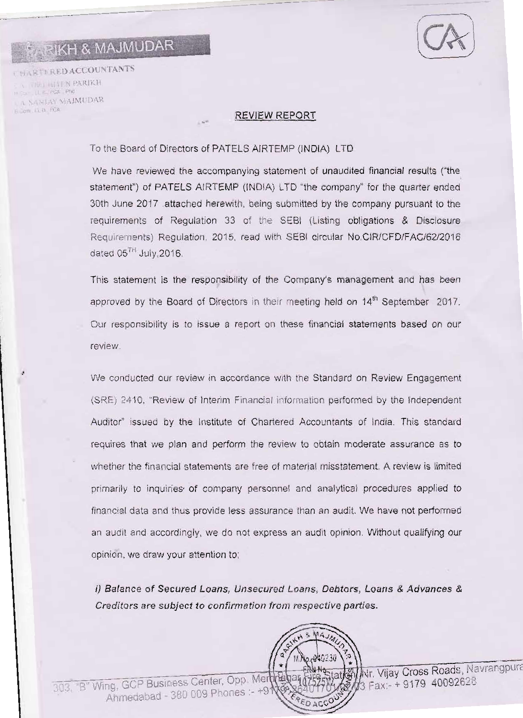# **RIKH & MAJMUDAR**

-.-------

**DARTERED ACCOUNTANTS** ARIKH LILL FCA PN A SANJAY MAJMUDAR - IL H FOA

## REVIEW REPORT

To the Board of Directors of PATELS AIRTEMP (INDIA) LTD

We have reviewed the accompanying statement of unaudited financial results ("the statement") of PATELS AIRTEMP (INDIA) LTD "the company" for the quarter ended 30th June 2017 attached herewith, being submitted by the company pursuant to the requirements of Regulation 33 of the SEBI (Listing obligations & Disclosure ReqUIrements) Regulation, 2015, read with SEBI circular NO.CIR/CFD/FAC/62/2016 dated  $05^{TH}$  July, 2016.

This statement is the responsibility of the Company's management and has been approved by the Board of Directors in their meeting held on 14<sup>th</sup> September 2017. Our responsibility is to issue a report on these financial statements based on our review

We conducted our review in accordance with the Standard on Review Engagement (SRE) 2410, "Review of Interim Financial mformatlon performed by the Independent Auditor" issued by the Institute of Chartered Accountants of India. This standard requires that we plan and perform the review to obtain moderate assurance as to whether the financial statements are free of material misstatement. A review is limited primarily to inquiries' of company personnel and analytical procedures applied to financial data and thus provide less assurance than an audit. We have not performed an audit and accordingly, we do not express an audit opinion. Without qualifying our opinion, we draw your attention to:

i) Balance of Secured Loans, Unsecured Loans, Debtors, Loans & Advances & Creditors are subject to confirmation from respective parties.

303, "B" Wing, GCP Business Center, Opp. Merthe bar 63 Fax State Mixr. Vijay Cross Roads, Navrangpura Ahmedabad - 380 009 Phones :-EDACC

 $241.31$